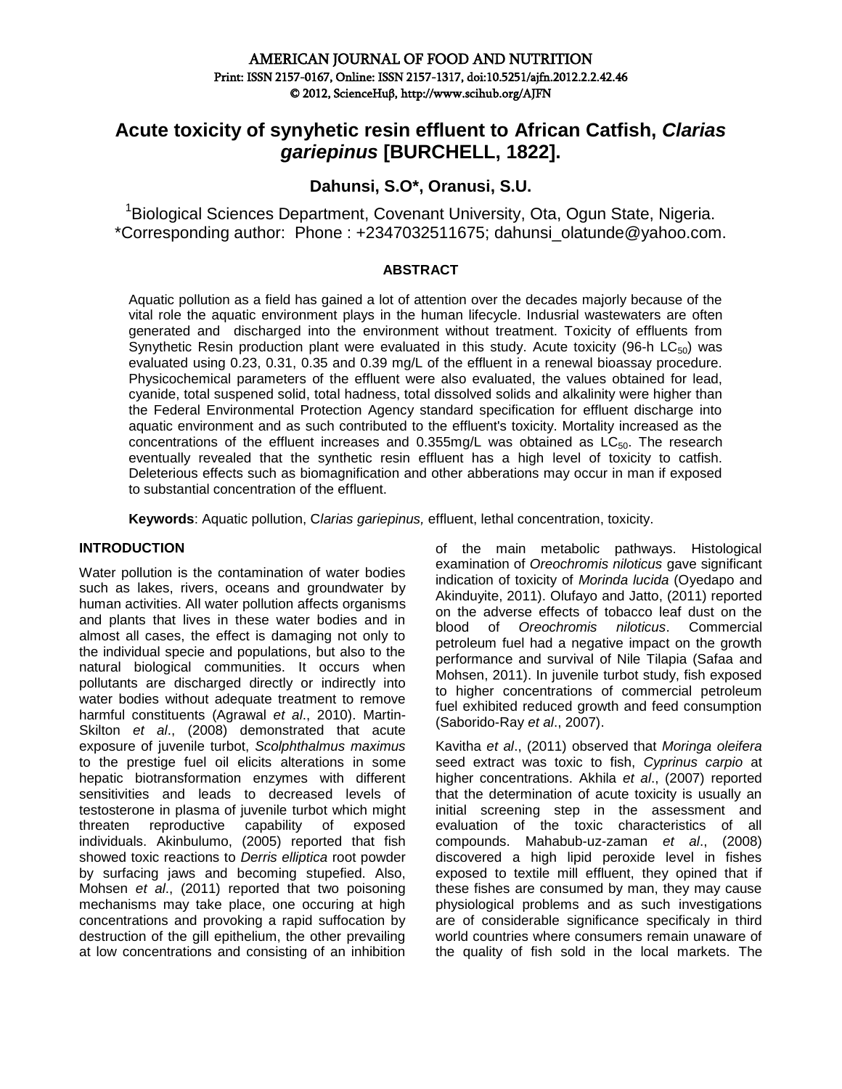# **Acute toxicity of synyhetic resin effluent to African Catfish,** *Clarias gariepinus* **[BURCHELL, 1822].**

**Dahunsi, S.O\*, Oranusi, S.U.**

<sup>1</sup> Biological Sciences Department, Covenant University, Ota, Ogun State, Nigeria. \*Corresponding author: Phone : +2347032511675; [dahunsi\\_olatunde@yahoo.com.](mailto:dahunsi_olatunde@yahoo.com)

#### **ABSTRACT**

Aquatic pollution as a field has gained a lot of attention over the decades majorly because of the vital role the aquatic environment plays in the human lifecycle. Indusrial wastewaters are often generated and discharged into the environment without treatment. Toxicity of effluents from Synythetic Resin production plant were evaluated in this study. Acute toxicity (96-h  $LC_{50}$ ) was evaluated using 0.23, 0.31, 0.35 and 0.39 mg/L of the effluent in a renewal bioassay procedure. Physicochemical parameters of the effluent were also evaluated, the values obtained for lead, cyanide, total suspened solid, total hadness, total dissolved solids and alkalinity were higher than the Federal Environmental Protection Agency standard specification for effluent discharge into aquatic environment and as such contributed to the effluent's toxicity. Mortality increased as the concentrations of the effluent increases and  $0.355mg/L$  was obtained as  $LC_{50}$ . The research eventually revealed that the synthetic resin effluent has a high level of toxicity to catfish. Deleterious effects such as biomagnification and other abberations may occur in man if exposed to substantial concentration of the effluent.

**Keywords**: Aquatic pollution, C*larias gariepinus,* effluent, lethal concentration, toxicity.

### **INTRODUCTION**

Water pollution is the contamination of water bodies such as lakes, rivers, oceans and groundwater by human activities. All water pollution affects organisms and plants that lives in these water bodies and in almost all cases, the effect is damaging not only to the individual specie and populations, but also to the natural biological communities. It occurs when pollutants are discharged directly or indirectly into water bodies without adequate treatment to remove harmful constituents (Agrawal *et al*., 2010). Martin-Skilton *et al*., (2008) demonstrated that acute exposure of juvenile turbot, *Scolphthalmus maximus*  to the prestige fuel oil elicits alterations in some hepatic biotransformation enzymes with different sensitivities and leads to decreased levels of testosterone in plasma of juvenile turbot which might threaten reproductive capability of exposed individuals. Akinbulumo, (2005) reported that fish showed toxic reactions to *Derris elliptica* root powder by surfacing jaws and becoming stupefied. Also, Mohsen *et al*., (2011) reported that two poisoning mechanisms may take place, one occuring at high concentrations and provoking a rapid suffocation by destruction of the gill epithelium, the other prevailing at low concentrations and consisting of an inhibition of the main metabolic pathways. Histological examination of *Oreochromis niloticus* gave significant indication of toxicity of *Morinda lucida* (Oyedapo and Akinduyite, 2011). Olufayo and Jatto, (2011) reported on the adverse effects of tobacco leaf dust on the blood of *Oreochromis niloticus*. Commercial petroleum fuel had a negative impact on the growth performance and survival of Nile Tilapia (Safaa and Mohsen, 2011). In juvenile turbot study, fish exposed to higher concentrations of commercial petroleum fuel exhibited reduced growth and feed consumption (Saborido-Ray *et al*., 2007).

Kavitha *et al*., (2011) observed that *Moringa oleifera* seed extract was toxic to fish, *Cyprinus carpio* at higher concentrations. Akhila *et al*., (2007) reported that the determination of acute toxicity is usually an initial screening step in the assessment and evaluation of the toxic characteristics of all compounds. Mahabub-uz-zaman *et al*., (2008) discovered a high lipid peroxide level in fishes exposed to textile mill effluent, they opined that if these fishes are consumed by man, they may cause physiological problems and as such investigations are of considerable significance specificaly in third world countries where consumers remain unaware of the quality of fish sold in the local markets. The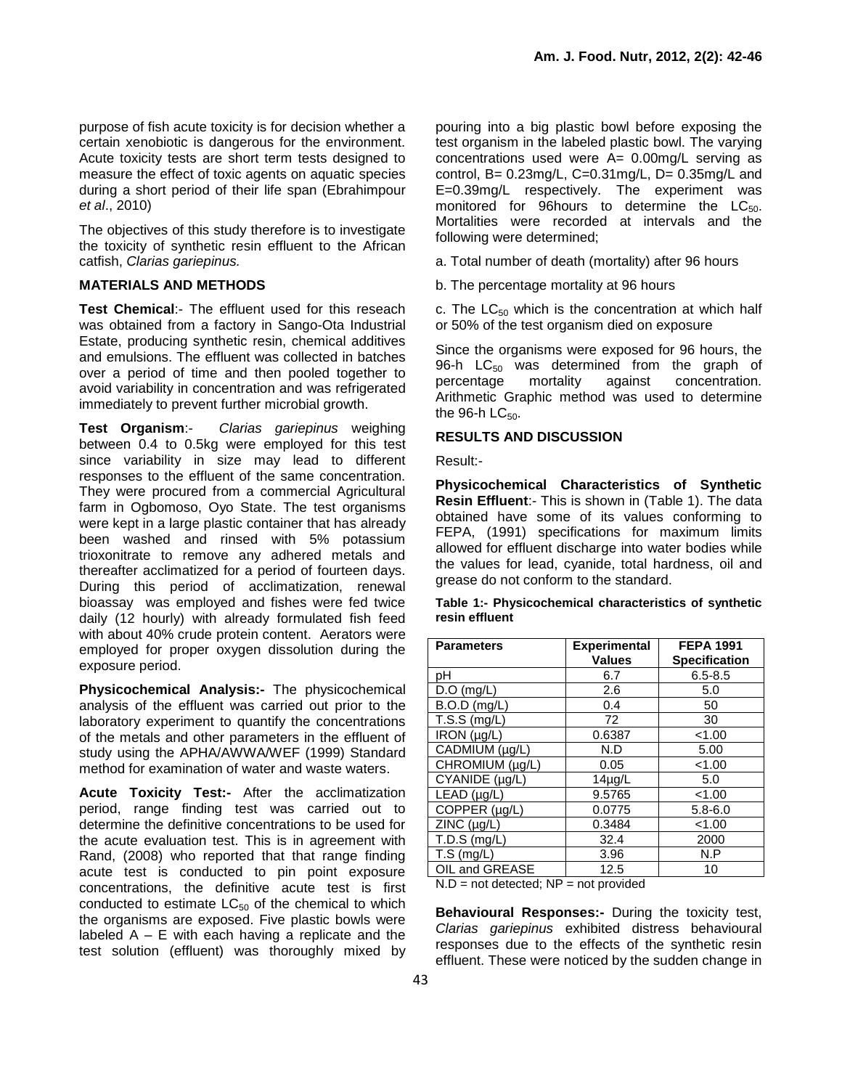purpose of fish acute toxicity is for decision whether a certain xenobiotic is dangerous for the environment. Acute toxicity tests are short term tests designed to measure the effect of toxic agents on aquatic species during a short period of their life span (Ebrahimpour *et al*., 2010)

The objectives of this study therefore is to investigate the toxicity of synthetic resin effluent to the African catfish, *Clarias gariepinus.*

# **MATERIALS AND METHODS**

**Test Chemical**:- The effluent used for this reseach was obtained from a factory in Sango-Ota Industrial Estate, producing synthetic resin, chemical additives and emulsions. The effluent was collected in batches over a period of time and then pooled together to avoid variability in concentration and was refrigerated immediately to prevent further microbial growth.

**Test Organism**:- *Clarias gariepinus* weighing between 0.4 to 0.5kg were employed for this test since variability in size may lead to different responses to the effluent of the same concentration. They were procured from a commercial Agricultural farm in Ogbomoso, Oyo State. The test organisms were kept in a large plastic container that has already been washed and rinsed with 5% potassium trioxonitrate to remove any adhered metals and thereafter acclimatized for a period of fourteen days. During this period of acclimatization, renewal bioassay was employed and fishes were fed twice daily (12 hourly) with already formulated fish feed with about 40% crude protein content. Aerators were employed for proper oxygen dissolution during the exposure period.

**Physicochemical Analysis:-** The physicochemical analysis of the effluent was carried out prior to the laboratory experiment to quantify the concentrations of the metals and other parameters in the effluent of study using the APHA/AWWA/WEF (1999) Standard method for examination of water and waste waters.

**Acute Toxicity Test:-** After the acclimatization period, range finding test was carried out to determine the definitive concentrations to be used for the acute evaluation test. This is in agreement with Rand, (2008) who reported that that range finding acute test is conducted to pin point exposure concentrations, the definitive acute test is first conducted to estimate  $LC_{50}$  of the chemical to which the organisms are exposed. Five plastic bowls were labeled  $A - E$  with each having a replicate and the test solution (effluent) was thoroughly mixed by

pouring into a big plastic bowl before exposing the test organism in the labeled plastic bowl. The varying concentrations used were A= 0.00mg/L serving as control, B= 0.23mg/L, C=0.31mg/L, D= 0.35mg/L and E=0.39mg/L respectively. The experiment was monitored for 96 hours to determine the  $LC_{50}$ . Mortalities were recorded at intervals and the following were determined;

- a. Total number of death (mortality) after 96 hours
- b. The percentage mortality at 96 hours

c. The  $LC_{50}$  which is the concentration at which half or 50% of the test organism died on exposure

Since the organisms were exposed for 96 hours, the 96-h  $LC_{50}$  was determined from the graph of percentage mortality against concentration. Arithmetic Graphic method was used to determine the 96-h  $LC_{50}$ .

#### **RESULTS AND DISCUSSION**

Result:-

**Physicochemical Characteristics of Synthetic Resin Effluent**:- This is shown in (Table 1). The data obtained have some of its values conforming to FEPA, (1991) specifications for maximum limits allowed for effluent discharge into water bodies while the values for lead, cyanide, total hardness, oil and grease do not conform to the standard.

| Table 1:- Physicochemical characteristics of synthetic |  |  |
|--------------------------------------------------------|--|--|
| resin effluent                                         |  |  |

| <b>Parameters</b>            | <b>Experimental</b> | <b>FEPA 1991</b>     |
|------------------------------|---------------------|----------------------|
|                              | <b>Values</b>       | <b>Specification</b> |
| pН                           | 6.7                 | $6.5 - 8.5$          |
| $D.O$ (mg/L)                 | 2.6                 | 5.0                  |
| $B.O.D$ (mg/L)               | 0.4                 | 50                   |
| T.S.S (mg/L)                 | 72                  | 30                   |
| IRON (µg/L)                  | 0.6387              | < 1.00               |
| $\overline{C}$ ADMIUM (µg/L) | N.D                 | 5.00                 |
| CHROMIUM (µg/L)              | 0.05                | < 1.00               |
| CYANIDE (µg/L)               | $14\muq/L$          | 5.0                  |
| LEAD (µg/L)                  | 9.5765              | < 1.00               |
| COPPER (µg/L)                | 0.0775              | $5.8 - 6.0$          |
| ZINC (µg/L)                  | 0.3484              | < 1.00               |
| T.D.S (mg/L)                 | 32.4                | 2000                 |
| $T.S$ (mg/L)                 | 3.96                | N.P                  |
| OIL and GREASE               | 12.5                | 10                   |

 $N.D = not detected; NP = not provided$ 

**Behavioural Responses:-** During the toxicity test, *Clarias gariepinus* exhibited distress behavioural responses due to the effects of the synthetic resin effluent. These were noticed by the sudden change in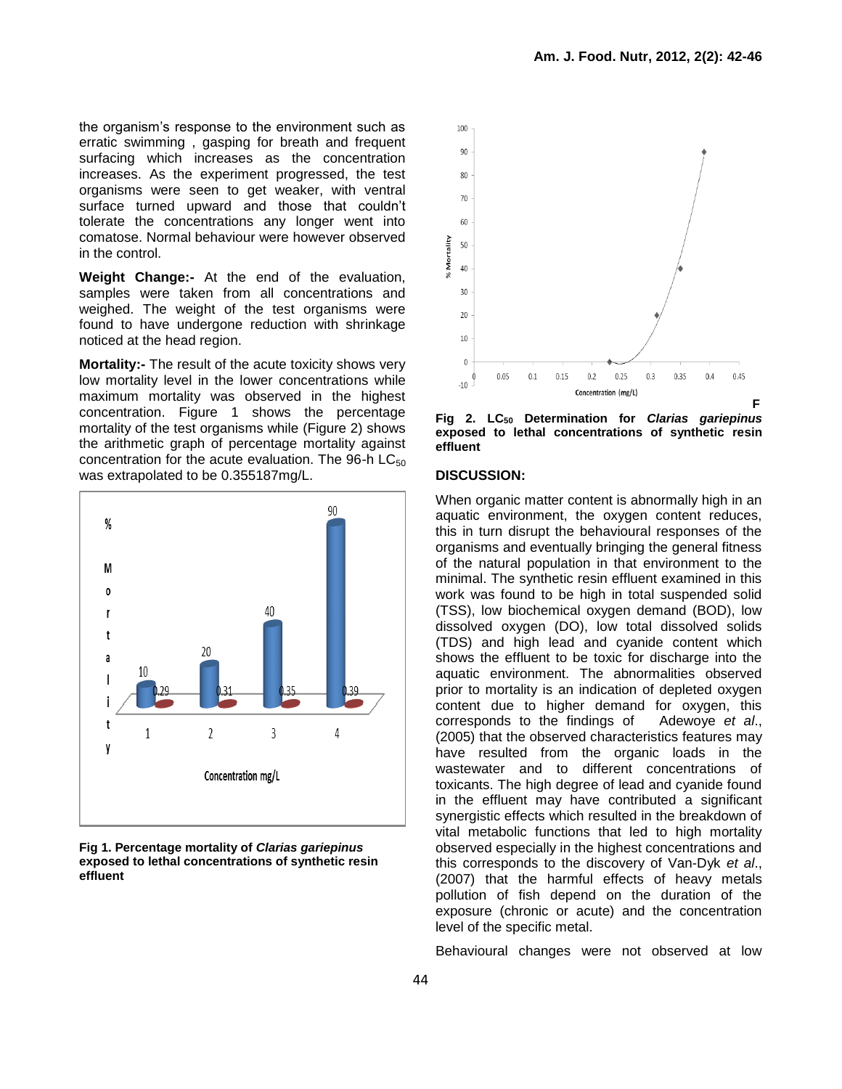the organism's response to the environment such as erratic swimming , gasping for breath and frequent surfacing which increases as the concentration increases. As the experiment progressed, the test organisms were seen to get weaker, with ventral surface turned upward and those that couldn't tolerate the concentrations any longer went into comatose. Normal behaviour were however observed in the control.

**Weight Change:-** At the end of the evaluation, samples were taken from all concentrations and weighed. The weight of the test organisms were found to have undergone reduction with shrinkage noticed at the head region.

**Mortality:-** The result of the acute toxicity shows very low mortality level in the lower concentrations while maximum mortality was observed in the highest concentration. Figure 1 shows the percentage mortality of the test organisms while (Figure 2) shows the arithmetic graph of percentage mortality against concentration for the acute evaluation. The 96-h  $LC_{50}$ was extrapolated to be 0.355187mg/L.



**Fig 1. Percentage mortality of** *Clarias gariepinus* **exposed to lethal concentrations of synthetic resin effluent**



**Fig 2. LC<sup>50</sup> Determination for** *Clarias gariepinus*  **exposed to lethal concentrations of synthetic resin effluent**

#### **DISCUSSION:**

When organic matter content is abnormally high in an aquatic environment, the oxygen content reduces, this in turn disrupt the behavioural responses of the organisms and eventually bringing the general fitness of the natural population in that environment to the minimal. The synthetic resin effluent examined in this work was found to be high in total suspended solid (TSS), low biochemical oxygen demand (BOD), low dissolved oxygen (DO), low total dissolved solids (TDS) and high lead and cyanide content which shows the effluent to be toxic for discharge into the aquatic environment. The abnormalities observed prior to mortality is an indication of depleted oxygen content due to higher demand for oxygen, this corresponds to the findings of Adewoye *et al*., (2005) that the observed characteristics features may have resulted from the organic loads in the wastewater and to different concentrations of toxicants. The high degree of lead and cyanide found in the effluent may have contributed a significant synergistic effects which resulted in the breakdown of vital metabolic functions that led to high mortality observed especially in the highest concentrations and this corresponds to the discovery of Van-Dyk *et al*., (2007) that the harmful effects of heavy metals pollution of fish depend on the duration of the exposure (chronic or acute) and the concentration level of the specific metal.

Behavioural changes were not observed at low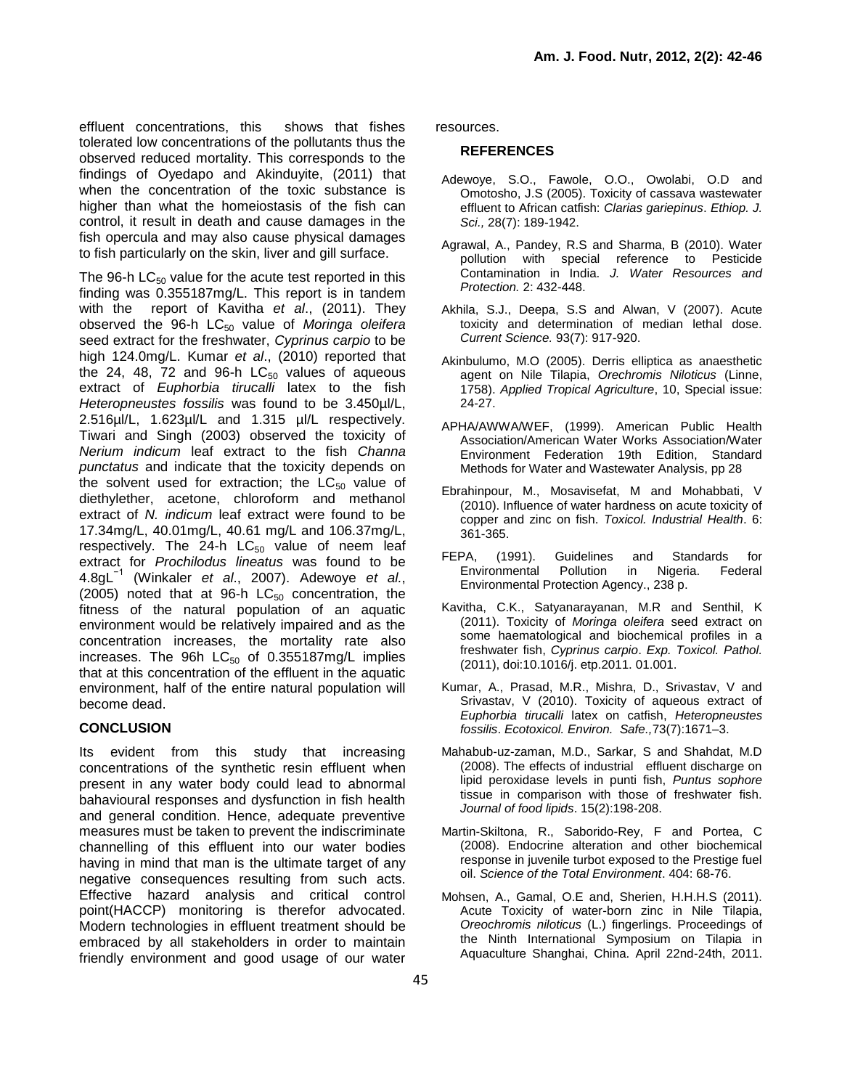effluent concentrations, this shows that fishes tolerated low concentrations of the pollutants thus the observed reduced mortality. This corresponds to the findings of Oyedapo and Akinduyite, (2011) that when the concentration of the toxic substance is higher than what the homeiostasis of the fish can control, it result in death and cause damages in the fish opercula and may also cause physical damages to fish particularly on the skin, liver and gill surface.

The 96-h  $LC_{50}$  value for the acute test reported in this finding was 0.355187mg/L. This report is in tandem with the report of Kavitha *et al*., (2011). They observed the 96-h LC<sub>50</sub> value of Moringa oleifera seed extract for the freshwater, *Cyprinus carpio* to be high 124.0mg/L. Kumar *et al*., (2010) reported that the 24, 48, 72 and 96-h  $LC_{50}$  values of aqueous extract of *Euphorbia tirucalli* latex to the fish *Heteropneustes fossilis* was found to be 3.450µl/L, 2.516µl/L, 1.623µl/L and 1.315 µl/L respectively. Tiwari and Singh (2003) observed the toxicity of *Nerium indicum* leaf extract to the fish *Channa punctatus* and indicate that the toxicity depends on the solvent used for extraction; the  $LC_{50}$  value of diethylether, acetone, chloroform and methanol extract of *N. indicum* leaf extract were found to be 17.34mg/L, 40.01mg/L, 40.61 mg/L and 106.37mg/L, respectively. The 24-h  $LC_{50}$  value of neem leaf extract for *Prochilodus lineatus* was found to be 4.8gL−1 (Winkaler *et al*., 2007). Adewoye *et al.*, (2005) noted that at 96-h  $LC_{50}$  concentration, the fitness of the natural population of an aquatic environment would be relatively impaired and as the concentration increases, the mortality rate also increases. The 96h  $LC_{50}$  of 0.355187mg/L implies that at this concentration of the effluent in the aquatic environment, half of the entire natural population will become dead.

## **CONCLUSION**

Its evident from this study that increasing concentrations of the synthetic resin effluent when present in any water body could lead to abnormal bahavioural responses and dysfunction in fish health and general condition. Hence, adequate preventive measures must be taken to prevent the indiscriminate channelling of this effluent into our water bodies having in mind that man is the ultimate target of any negative consequences resulting from such acts. Effective hazard analysis and critical control point(HACCP) monitoring is therefor advocated. Modern technologies in effluent treatment should be embraced by all stakeholders in order to maintain friendly environment and good usage of our water

resources.

#### **REFERENCES**

- Adewoye, S.O., Fawole, O.O., Owolabi, O.D and Omotosho, J.S (2005). Toxicity of cassava wastewater effluent to African catfish: *Clarias gariepinus*. *Ethiop. J. Sci.,* 28(7): 189-1942.
- Agrawal, A., Pandey, R.S and Sharma, B (2010). Water pollution with special reference to Pesticide Contamination in India. *J. Water Resources and Protection.* 2: 432-448.
- Akhila, S.J., Deepa, S.S and Alwan, V (2007). Acute toxicity and determination of median lethal dose. *Current Science.* 93(7): 917-920.
- Akinbulumo, M.O (2005). Derris elliptica as anaesthetic agent on Nile Tilapia, *Orechromis Niloticus* (Linne, 1758). *Applied Tropical Agriculture*, 10, Special issue: 24-27.
- APHA/AWWA/WEF, (1999). American Public Health Association/American Water Works Association/Water Environment Federation 19th Edition, Standard Methods for Water and Wastewater Analysis, pp 28
- Ebrahinpour, M., Mosavisefat, M and Mohabbati, V (2010). Influence of water hardness on acute toxicity of copper and zinc on fish. *Toxicol. Industrial Health*. 6: 361-365.
- FEPA, (1991). Guidelines and Standards for Environmental Pollution in Nigeria. Federal Environmental Protection Agency., 238 p.
- Kavitha, C.K., Satyanarayanan, M.R and Senthil, K (2011). Toxicity of *Moringa oleifera* seed extract on some haematological and biochemical profiles in a freshwater fish, *Cyprinus carpio*. *Exp. Toxicol. Pathol.* (2011), doi:10.1016/j. etp.2011. 01.001.
- Kumar, A., Prasad, M.R., Mishra, D., Srivastav, V and Srivastav, V (2010). Toxicity of aqueous extract of *Euphorbia tirucalli* latex on catfish, *Heteropneustes fossilis*. *Ecotoxicol. Environ. Safe.,*73(7):1671–3.
- Mahabub-uz-zaman, M.D., Sarkar, S and Shahdat, M.D (2008). The effects of industrial effluent discharge on lipid peroxidase levels in punti fish, *Puntus sophore* tissue in comparison with those of freshwater fish. *Journal of food lipids*. 15(2):198-208.
- Martin-Skiltona, R., Saborido-Rey, F and Portea, C (2008). Endocrine alteration and other biochemical response in juvenile turbot exposed to the Prestige fuel oil. *Science of the Total Environment*. 404: 68-76.
- Mohsen, A., Gamal, O.E and, Sherien, H.H.H.S (2011). Acute Toxicity of water-born zinc in Nile Tilapia, *Oreochromis niloticus* (L.) fingerlings. Proceedings of the Ninth International Symposium on Tilapia in Aquaculture Shanghai, China. April 22nd-24th, 2011.